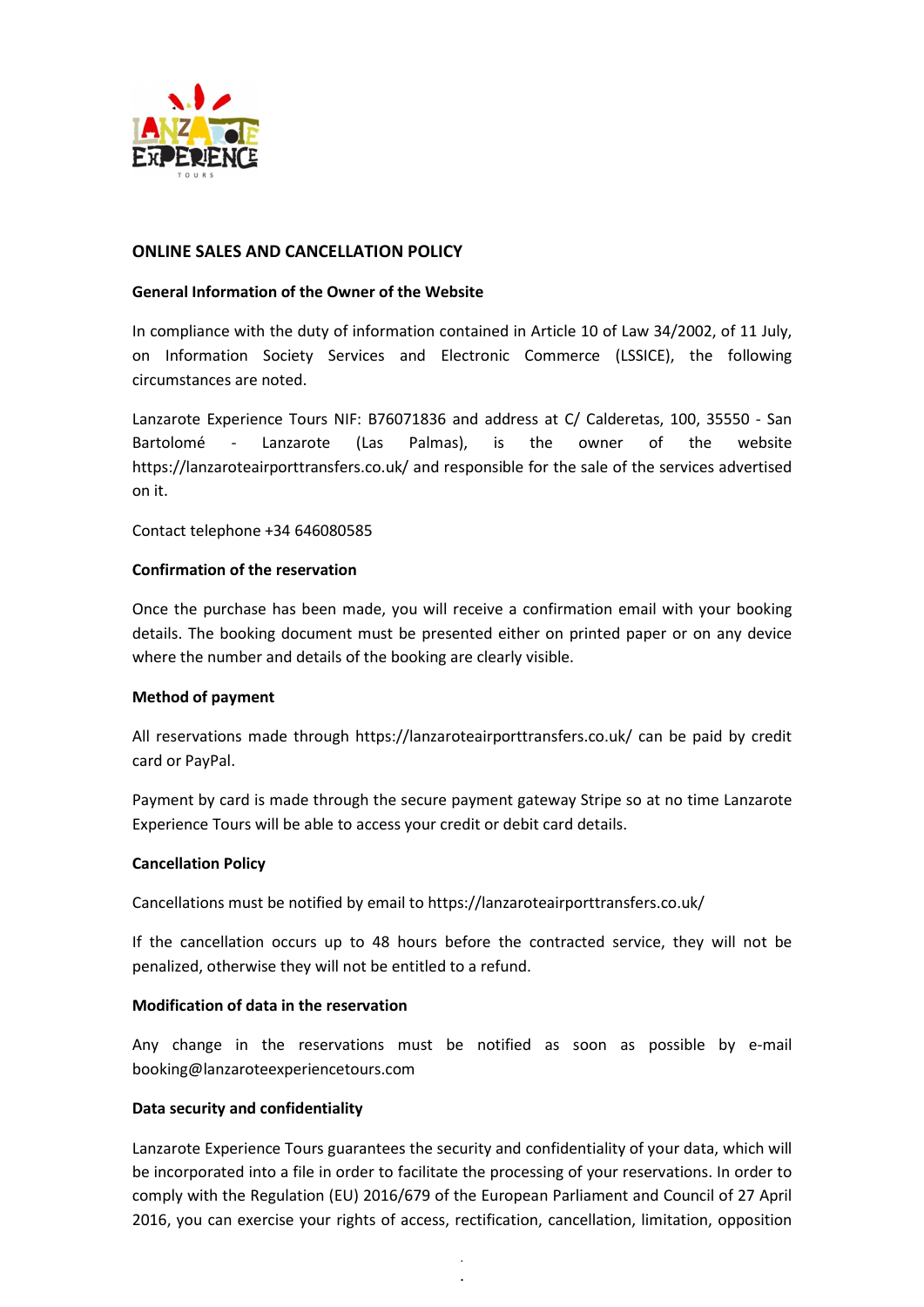

## ONLINE SALES AND CANCELLATION POLICY

### General Information of the Owner of the Website

In compliance with the duty of information contained in Article 10 of Law 34/2002, of 11 July, on Information Society Services and Electronic Commerce (LSSICE), the following circumstances are noted.

Lanzarote Experience Tours NIF: B76071836 and address at C/ Calderetas, 100, 35550 - San Bartolomé - Lanzarote (Las Palmas), is the owner of the website https://lanzaroteairporttransfers.co.uk/ and responsible for the sale of the services advertised on it.

Contact telephone +34 646080585

### Confirmation of the reservation

Once the purchase has been made, you will receive a confirmation email with your booking details. The booking document must be presented either on printed paper or on any device where the number and details of the booking are clearly visible.

#### Method of payment

All reservations made through https://lanzaroteairporttransfers.co.uk/ can be paid by credit card or PayPal.

Payment by card is made through the secure payment gateway Stripe so at no time Lanzarote Experience Tours will be able to access your credit or debit card details.

#### Cancellation Policy

Cancellations must be notified by email to https://lanzaroteairporttransfers.co.uk/

If the cancellation occurs up to 48 hours before the contracted service, they will not be penalized, otherwise they will not be entitled to a refund.

## Modification of data in the reservation

Any change in the reservations must be notified as soon as possible by e-mail booking@lanzaroteexperiencetours.com

## Data security and confidentiality

Lanzarote Experience Tours guarantees the security and confidentiality of your data, which will be incorporated into a file in order to facilitate the processing of your reservations. In order to comply with the Regulation (EU) 2016/679 of the European Parliament and Council of 27 April 2016, you can exercise your rights of access, rectification, cancellation, limitation, opposition

> . .